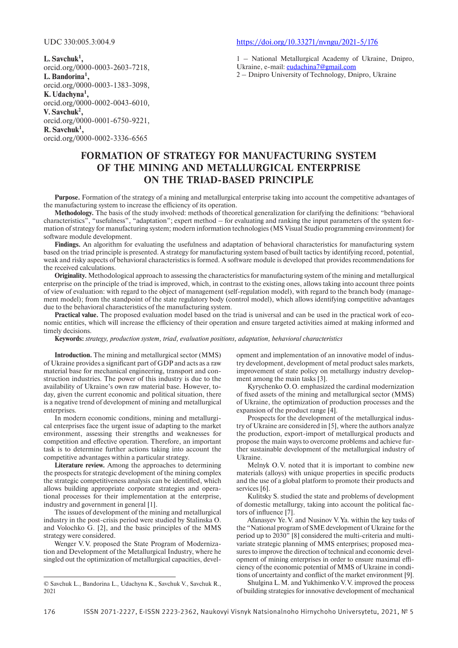**L.Savchuk1 ,** orcid.org/0000-0003-2603-7218, **L.Bandorina1 ,** orcid.org/0000-0003-1383-3098, **K.Udachyna1 ,** orcid.org/0000-0002-0043-6010, **V.Savchuk2 ,** orcid.org/0000-0001-6750-9221, **R.Savchuk1 ,** orcid.org/0000-0002-3336-6565

## UDC 330:005.3:004.9 https://doi.org/10.33271/nvngu/2021-5/176

1 – National Metallurgical Academy of Ukraine, Dnipro, Ukraine, e-mail: eudachina7@gmail.com

2 – Dnipro University of Technology, Dnipro, Ukraine

## **FORMATION OF STRATEGY FOR MANUFACTURING SYSTEM OF THE MINING AND METALLURGICAL ENTERPRISE ON THE TRIAD-BASED PRINCIPLE**

**Purpose.** Formation of the strategy of a mining and metallurgical enterprise taking into account the competitive advantages of the manufacturing system to increase the efficiency of its operation.

**Methodology.** The basis of the study involved: methods of theoretical generalization for clarifying the definitions: "behavioral characteristics", "usefulness", "adaptation"; expert method – for evaluating and ranking the input parameters of the system formation of strategy for manufacturing system; modern information technologies (MS Visual Studio programming environment) for software module development.

**Findings.** An algorithm for evaluating the usefulness and adaptation of behavioral characteristics for manufacturing system based on the triad principle is presented. A strategy for manufacturing system based of built tactics by identifying record, potential, weak and risky aspects of behavioral characteristics is formed. A software module is developed that provides recommendations for the received calculations.

**Originality.** Methodological approach to assessing the characteristics for manufacturing system of the mining and metallurgical enterprise on the principle of the triad is improved, which, in contrast to the existing ones, allows taking into account three points of view of evaluation: with regard to the object of management (self-regulation model), with regard to the branch body (management model); from the standpoint of the state regulatory body (control model), which allows identifying competitive advantages due to the behavioral characteristics of the manufacturing system.

**Practical value.** The proposed evaluation model based on the triad is universal and can be used in the practical work of economic entities, which will increase the efficiency of their operation and ensure targeted activities aimed at making informed and timely decisions.

**Keywords:** *strategy, production system, triad, evaluation positions, adaptation, behavioral characteristics*

**Introduction.** The mining and metallurgical sector (MMS) of Ukraine provides a significant part of GDP and acts as a raw material base for mechanical engineering, transport and construction industries. The power of this industry is due to the availability of Ukraine's own raw material base. However, today, given the current economic and political situation, there is a negative trend of development of mining and metallurgical enterprises

In modern economic conditions, mining and metallurgical enterprises face the urgent issue of adapting to the market environment, assessing their strengths and weaknesses for competition and effective operation. Therefore, an important task is to determine further actions taking into account the competitive advantages within a particular strategy.

**Literature review.** Among the approaches to determining the prospects for strategic development of the mining complex the strategic competitiveness analysis can be identified, which allows building appropriate corporate strategies and operational processes for their implementation at the enterprise, industry and government in general [1].

The issues of development of the mining and metallurgical industry in the post-crisis period were studied by Stalinska O. and Volochko G. [2], and the basic principles of the MMS strategy were considered.

Wenger V.V. proposed the State Program of Modernization and Development of the Metallurgical Industry, where he singled out the optimization of metallurgical capacities, development and implementation of an innovative model of industry development, development of metal product sales markets, improvement of state policy on metallurgy industry development among the main tasks [3].

Kyrychenko O.O. emphasized the cardinal modernization of fixed assets of the mining and metallurgical sector (MMS) of Ukraine, the optimization of production processes and the expansion of the product range [4].

Prospects for the development of the metallurgical industry of Ukraine are considered in [5], where the authors analyze the production, export-import of metallurgical products and propose the main ways to overcome problems and achieve further sustainable development of the metallurgical industry of Ukraine.

Melnyk O.V. noted that it is important to combine new materials (alloys) with unique properties in specific products and the use of a global platform to promote their products and services [6].

Kulitsky S. studied the state and problems of development of domestic metallurgy, taking into account the political factors of influence [7].

Afanasyev Ye.V. and Nusinov V.Ya. within the key tasks of the "National program of SME development of Ukraine for the period up to 2030" [8] considered the multi-criteria and multivariate strategic planning of MMS enterprises; proposed measures to improve the direction of technical and economic development of mining enterprises in order to ensure maximal efficiency of the economic potential of MMS of Ukraine in conditions of uncertainty and conflict of the market environment [9].

Shulgina L.M. and Yukhimenko V.V. improved the process of building strategies for innovative development of mechanical

<sup>©</sup> Savchuk L., Bandorina L., Udachyna K., Savchuk V., Savchuk R., 2021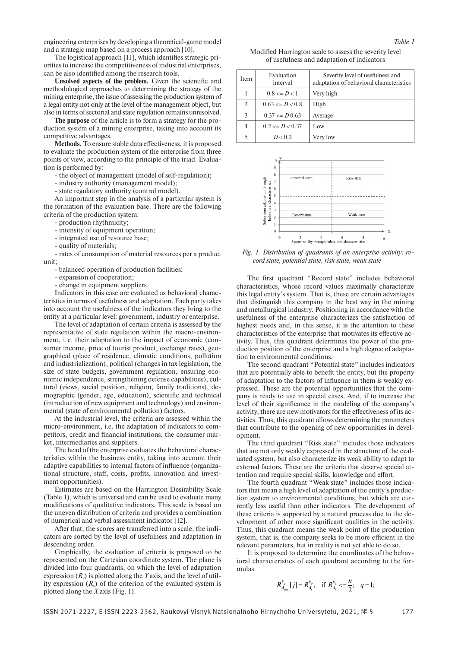engineering enterprises by developing a theoretical-game model and a strategic map based on a process approach [10].

The logistical approach [11], which identifies strategic priorities to increase the competitiveness of industrial enterprises, can be also identified among the research tools.

**Unsolved aspects of the problem***.* Given the scientific and methodological approaches to determining the strategy of the mining enterprise, the issue of assessing the production system of a legal entity not only at the level of the management object, but also in terms of sectorial and state regulation remains unresolved.

**The purpose** of the article is to form a strategy for the production system of a mining enterprise, taking into account its competitive advantages.

**Methods***.* To ensure stable data effectiveness, it is proposed to evaluate the production system of the enterprise from three points of view, according to the principle of the triad. Evaluation is performed by:

- the object of management (model of self-regulation);

- industry authority (management model);

- state regulatory authority (control model).

An important step in the analysis of a particular system is the formation of the evaluation base. There are the following criteria of the production system:

- production rhythmicity;

- intensity of equipment operation;

- integrated use of resource base;

- quality of materials;

- rates of consumption of material resources per a product unit;

- balanced operation of production facilities;

- expansion of cooperation;

- change in equipment suppliers.

Indicators in this case are evaluated as behavioral characteristics in terms of usefulness and adaptation. Each party takes into account the usefulness of the indicators they bring to the entity at a particular level: government, industry or enterprise.

The level of adaptation of certain criteria is assessed by the representative of state regulation within the macro-environment, i.e. their adaptation to the impact of economic (consumer income, price of tourist product, exchange rates), geographical (place of residence, climatic conditions, pollution and industrialization), political (changes in tax legislation, the size of state budgets, government regulation, ensuring economic independence, strengthening defense capabilities), cultural (views, social position, religion, family traditions), demographic (gender, age, education), scientific and technical (introduction of new equipment and technology) and environmental (state of environmental pollution) factors.

At the industrial level, the criteria are assessed within the micro-environment, i.e. the adaptation of indicators to competitors, credit and financial institutions, the consumer market, intermediaries and suppliers.

The head of the enterprise evaluates the behavioral characteristics within the business entity, taking into account their adaptive capabilities to internal factors of influence (organizational structure, staff, costs, profits, innovation and investment opportunities).

Estimates are based on the Harrington Desirability Scale (Table 1), which is universal and can be used to evaluate many modifications of qualitative indicators. This scale is based on the uneven distribution of criteria and provides a combination of numerical and verbal assessment indicator [12].

After that, the scores are transferred into a scale, the indicators are sorted by the level of usefulness and adaptation in descending order.

Graphically, the evaluation of criteria is proposed to be represented on the Cartesian coordinate system. The plane is divided into four quadrants, on which the level of adaptation expression (*Ry*) is plotted along the *Y* axis, and the level of utility expression  $(R_x)$  of the criterion of the evaluated system is plotted along the *X* axis (Fig. 1).

Modified Harrington scale to assess the severity level of usefulness and adaptation of indicators

| <b>Item</b>   | Evaluation<br>interval  | Severity level of usefulness and<br>adaptation of behavioral characteristics |  |  |
|---------------|-------------------------|------------------------------------------------------------------------------|--|--|
|               | $0.8 \leq D < 1$        | Very high                                                                    |  |  |
| $\mathcal{L}$ | $0.63 \leq D \leq 0.8$  | High                                                                         |  |  |
| $\mathcal{E}$ | $0.37 \leq D \leq 0.63$ | Average                                                                      |  |  |
|               | $0.2 \leq D \leq 0.37$  | Low                                                                          |  |  |
|               | D < 0.2                 | Very low                                                                     |  |  |



*Fig. 1. Distribution of quadrants of an enterprise activity: record state, potential state, risk state, weak state*

The first quadrant "Record state" includes behavioral characteristics, whose record values maximally characterize this legal entity's system. That is, these are certain advantages that distinguish this company in the best way in the mining and metallurgical industry. Positioning in accordance with the usefulness of the enterprise characterizes the satisfaction of highest needs and, in this sense, it is the attention to these characteristics of the enterprise that motivates its effective activity. Thus, this quadrant determines the power of the production position of the enterprise and a high degree of adaptation to environmental conditions.

The second quadrant "Potential state" includes indicators that are potentially able to benefit the entity, but the property of adaptation to the factors of influence in them is weakly expressed. These are the potential opportunities that the company is ready to use in special cases. And, if to increase the level of their significance in the modeling of the company's activity, there are new motivators for the effectiveness of its activities. Thus, this quadrant allows determining the parameters that contribute to the opening of new opportunities in development.

The third quadrant "Risk state" includes those indicators that are not only weakly expressed in the structure of the evaluated system, but also characterize its weak ability to adapt to external factors. These are the criteria that deserve special attention and require special skills, knowledge and effort.

The fourth quadrant "Weak state" includes those indicators that mean a high level of adaptation of the entity's production system to environmental conditions, but which are currently less useful than other indicators. The development of these criteria is supported by a natural process due to the development of other more significant qualities in the activity. Thus, this quadrant means the weak point of the production system, that is, the company seeks to be more efficient in the relevant parameters, but in reality is not yet able to do so.

It is proposed to determine the coordinates of the behavioral characteristics of each quadrant according to the formulas

$$
R_{A_{\min}}^{k_q}[j] = R_{A_i}^{k_q}, \text{ if } R_{A_i}^{k_q} \leq \frac{n}{2}; \quad q = 1;
$$

*Table 1*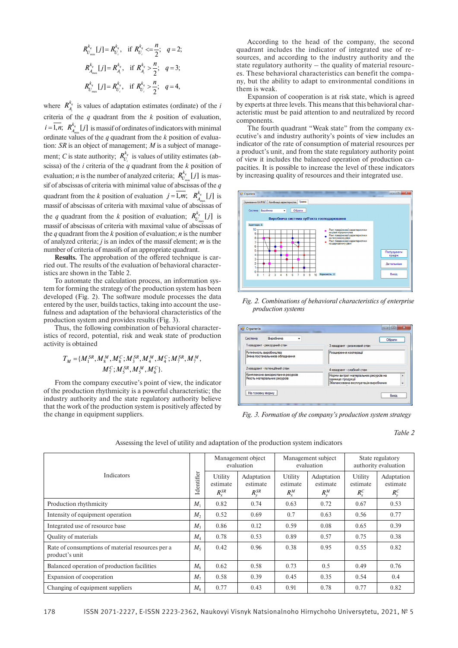$$
R_{U_{\min}}^{k_q} [j] = R_{U_i}^{k_q}, \text{ if } R_{U_i}^{k_q} \leq \frac{n}{2}; \quad q = 2; R_{A_{\max}}^{k_q} [j] = R_{A_i}^{k_q}, \text{ if } R_{A_i}^{k_q} > \frac{n}{2}; \quad q = 3; R_{U_{\max}}^{k_q} [j] = R_{U_i}^{k_q}, \text{ if } R_{U_i}^{k_q} > \frac{n}{2}; \quad q = 4,
$$

where  $R_{A_i}^{k_q}$  is values of adaptation estimates (ordinate) of the *i i* criteria of the *q* quadrant from the *k* position of evaluation,  $i = \overline{1, n}$ ;  $R_{A_{min}}^{k_q} [j]$  is massif of ordinates of indicators with minimal ordinate values of the *q* quadrant from the *k* position of evaluation: *SR* is an object of management; *M* is a subject of management; *C* is state authority;  $R_{U_i}^{k_q}$  is values of utility estimates (abscissa) of the *i* criteria of the *q* quadrant from the *k* position of evaluation; *n* is the number of analyzed criteria;  $R_{U_{\min}}^{k_q} [j]$  is massif of abscissas of criteria with minimal value of abscissas of the *q* quadrant from the *k* position of evaluation  $j = \overline{1,m}$ ;  $R_{A_{\text{max}}}^{k_q} [j]$  is massif of abscissas of criteria with maximal value of abscissas of the *q* quadrant from the *k* position of evaluation;  $R_{U_{\text{max}}}^{k_q} [j]$  is massif of abscissas of criteria with maximal value of abscissas of the *q* quadrant from the *k* position of evaluation; *n* is the number of analyzed criteria; *j* is an index of the massif element; *m* is the number of criteria of massifs of an appropriate quadrant.

**Results***.* The approbation of the offered technique is carried out. The results of the evaluation of behavioral characteristics are shown in the Table 2.

To automate the calculation process, an information system for forming the strategy of the production system has been developed (Fig. 2). The software module processes the data entered by the user, builds tactics, taking into account the usefulness and adaptation of the behavioral characteristics of the production system and provides results (Fig. 3).

Thus, the following combination of behavioral characteristics of record, potential, risk and weak state of production activity is obtained

$$
T_M = \{M_1^{SR}, M_8^M, M_8^C; M_3^{SR}, M_4^M, M_4^C; M_7^{SR}, M_7^M, M_7^{C}; M_5^{SR}, M_5^M, M_6^C\}.
$$

From the company executive's point of view, the indicator of the production rhythmicity is a powerful characteristic; the industry authority and the state regulatory authority believe that the work of the production system is positively affected by the change in equipment suppliers.

According to the head of the company, the second quadrant includes the indicator of integrated use of resources, and according to the industry authority and the state regulatory authority – the quality of material resources. These behavioral characteristics can benefit the company, but the ability to adapt to environmental conditions in them is weak.

Expansion of cooperation is at risk state, which is agreed by experts at three levels. This means that this behavioral characteristic must be paid attention to and neutralized by record components.

The fourth quadrant "Weak state" from the company executive's and industry authority's points of view includes an indicator of the rate of consumption of material resources per a product's unit, and from the state regulatory authority point of view it includes the balanced operation of production capacities. It is possible to increase the level of these indicators by increasing quality of resources and their integrated use.



*Fig. 2. Combinations of behavioral characteristics of enterprise production systems*

| Виробнича<br>Система                                             | Обрати                                                                                                       |  |  |  |  |  |
|------------------------------------------------------------------|--------------------------------------------------------------------------------------------------------------|--|--|--|--|--|
| 1 квадрант - рекордний стан                                      | 3 квадрант - ризиковий стан                                                                                  |  |  |  |  |  |
| Ритмічність виробництва<br>Зміна постачальників обладнання       | Розширення кооперації                                                                                        |  |  |  |  |  |
| 2 квадрант - потенційний стан                                    | 4 квадрант - слабкий стан                                                                                    |  |  |  |  |  |
| Комплексне використання ресурсів<br>Якість матеріальних ресурсів | Норми витрат матеріальних ресурсів на<br>٠<br>одиницю продукції<br>Збалансована експлуатація виробничих<br>۰ |  |  |  |  |  |
| На головну форму                                                 |                                                                                                              |  |  |  |  |  |

*Fig. 3. Formation of the company's production system strategy*

*Table 2*

| <b>Indicators</b>                                                  |         | Management object<br>evaluation     |                                      | Management subject<br>evaluation   |                                   | State regulatory<br>authority evaluation |                                       |
|--------------------------------------------------------------------|---------|-------------------------------------|--------------------------------------|------------------------------------|-----------------------------------|------------------------------------------|---------------------------------------|
|                                                                    |         | Utility<br>estimate<br>$R_{x}^{SR}$ | Adaptation<br>estimate<br>$R_v^{SR}$ | Utility<br>estimate<br>$R_{x}^{M}$ | Adaptation<br>estimate<br>$R_v^M$ | Utility<br>estimate<br>$R_{r}^{C}$       | Adaptation<br>estimate<br>$R_{v}^{C}$ |
| Production rhythmicity                                             |         | 0.82                                | 0.74                                 | 0.63                               | 0.72                              | 0.67                                     | 0.53                                  |
| Intensity of equipment operation                                   |         | 0.52                                | 0.69                                 | 0.7                                | 0.63                              | 0.56                                     | 0.77                                  |
| Integrated use of resource base                                    |         | 0.86                                | 0.12                                 | 0.59                               | 0.08                              | 0.65                                     | 0.39                                  |
| <b>Quality of materials</b>                                        |         | 0.78                                | 0.53                                 | 0.89                               | 0.57                              | 0.75                                     | 0.38                                  |
| Rate of consumptions of material resources per a<br>product's unit |         | 0.42                                | 0.96                                 | 0.38                               | 0.95                              | 0.55                                     | 0.82                                  |
| Balanced operation of production facilities                        | $M_{6}$ | 0.62                                | 0.58                                 | 0.73                               | 0.5                               | 0.49                                     | 0.76                                  |
| Expansion of cooperation                                           |         | 0.58                                | 0.39                                 | 0.45                               | 0.35                              | 0.54                                     | 0.4                                   |
| Changing of equipment suppliers                                    |         | 0.77                                | 0.43                                 | 0.91                               | 0.78                              | 0.77                                     | 0.82                                  |

Assessing the level of utility and adaptation of the production system indicators